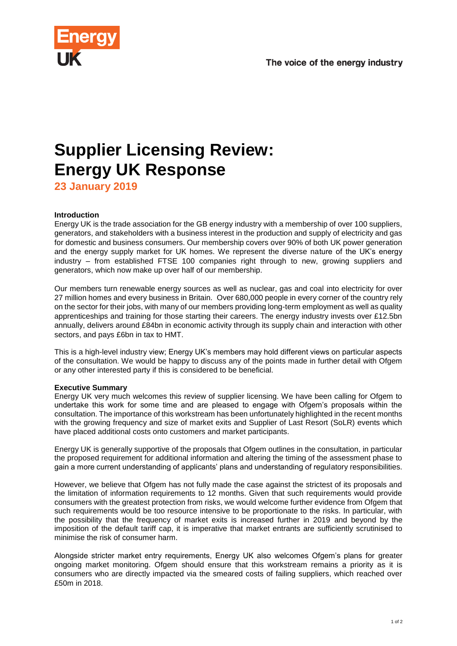

# **Supplier Licensing Review: Energy UK Response**

**23 January 2019**

# **Introduction**

Energy UK is the trade association for the GB energy industry with a membership of over 100 suppliers, generators, and stakeholders with a business interest in the production and supply of electricity and gas for domestic and business consumers. Our membership covers over 90% of both UK power generation and the energy supply market for UK homes. We represent the diverse nature of the UK's energy industry – from established FTSE 100 companies right through to new, growing suppliers and generators, which now make up over half of our membership.

Our members turn renewable energy sources as well as nuclear, gas and coal into electricity for over 27 million homes and every business in Britain. Over 680,000 people in every corner of the country rely on the sector for their jobs, with many of our members providing long-term employment as well as quality apprenticeships and training for those starting their careers. The energy industry invests over £12.5bn annually, delivers around £84bn in economic activity through its supply chain and interaction with other sectors, and pays £6bn in tax to HMT.

This is a high-level industry view; Energy UK's members may hold different views on particular aspects of the consultation. We would be happy to discuss any of the points made in further detail with Ofgem or any other interested party if this is considered to be beneficial.

# **Executive Summary**

Energy UK very much welcomes this review of supplier licensing. We have been calling for Ofgem to undertake this work for some time and are pleased to engage with Ofgem's proposals within the consultation. The importance of this workstream has been unfortunately highlighted in the recent months with the growing frequency and size of market exits and Supplier of Last Resort (SoLR) events which have placed additional costs onto customers and market participants.

Energy UK is generally supportive of the proposals that Ofgem outlines in the consultation, in particular the proposed requirement for additional information and altering the timing of the assessment phase to gain a more current understanding of applicants' plans and understanding of regulatory responsibilities.

However, we believe that Ofgem has not fully made the case against the strictest of its proposals and the limitation of information requirements to 12 months. Given that such requirements would provide consumers with the greatest protection from risks, we would welcome further evidence from Ofgem that such requirements would be too resource intensive to be proportionate to the risks. In particular, with the possibility that the frequency of market exits is increased further in 2019 and beyond by the imposition of the default tariff cap, it is imperative that market entrants are sufficiently scrutinised to minimise the risk of consumer harm.

Alongside stricter market entry requirements, Energy UK also welcomes Ofgem's plans for greater ongoing market monitoring. Ofgem should ensure that this workstream remains a priority as it is consumers who are directly impacted via the smeared costs of failing suppliers, which reached over £50m in 2018.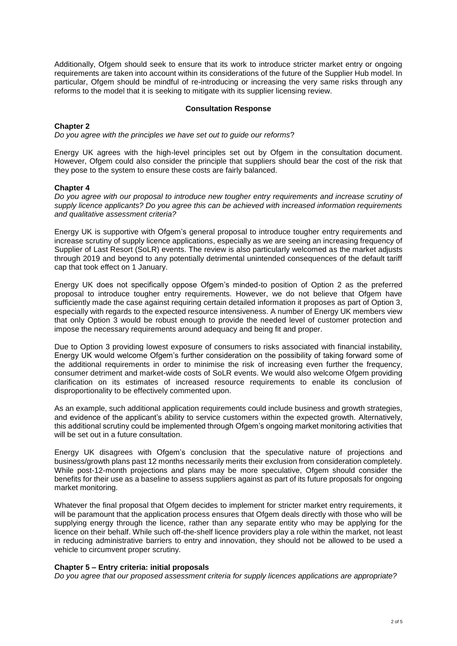Additionally, Ofgem should seek to ensure that its work to introduce stricter market entry or ongoing requirements are taken into account within its considerations of the future of the Supplier Hub model. In particular, Ofgem should be mindful of re-introducing or increasing the very same risks through any reforms to the model that it is seeking to mitigate with its supplier licensing review.

#### **Consultation Response**

#### **Chapter 2**

*Do you agree with the principles we have set out to guide our reforms*?

Energy UK agrees with the high-level principles set out by Ofgem in the consultation document. However, Ofgem could also consider the principle that suppliers should bear the cost of the risk that they pose to the system to ensure these costs are fairly balanced.

#### **Chapter 4**

*Do you agree with our proposal to introduce new tougher entry requirements and increase scrutiny of supply licence applicants? Do you agree this can be achieved with increased information requirements and qualitative assessment criteria?*

Energy UK is supportive with Ofgem's general proposal to introduce tougher entry requirements and increase scrutiny of supply licence applications, especially as we are seeing an increasing frequency of Supplier of Last Resort (SoLR) events. The review is also particularly welcomed as the market adjusts through 2019 and beyond to any potentially detrimental unintended consequences of the default tariff cap that took effect on 1 January.

Energy UK does not specifically oppose Ofgem's minded-to position of Option 2 as the preferred proposal to introduce tougher entry requirements. However, we do not believe that Ofgem have sufficiently made the case against requiring certain detailed information it proposes as part of Option 3, especially with regards to the expected resource intensiveness. A number of Energy UK members view that only Option 3 would be robust enough to provide the needed level of customer protection and impose the necessary requirements around adequacy and being fit and proper.

Due to Option 3 providing lowest exposure of consumers to risks associated with financial instability, Energy UK would welcome Ofgem's further consideration on the possibility of taking forward some of the additional requirements in order to minimise the risk of increasing even further the frequency, consumer detriment and market-wide costs of SoLR events. We would also welcome Ofgem providing clarification on its estimates of increased resource requirements to enable its conclusion of disproportionality to be effectively commented upon.

As an example, such additional application requirements could include business and growth strategies, and evidence of the applicant's ability to service customers within the expected growth. Alternatively, this additional scrutiny could be implemented through Ofgem's ongoing market monitoring activities that will be set out in a future consultation.

Energy UK disagrees with Ofgem's conclusion that the speculative nature of projections and business/growth plans past 12 months necessarily merits their exclusion from consideration completely. While post-12-month projections and plans may be more speculative, Ofgem should consider the benefits for their use as a baseline to assess suppliers against as part of its future proposals for ongoing market monitoring.

Whatever the final proposal that Ofgem decides to implement for stricter market entry requirements, it will be paramount that the application process ensures that Ofgem deals directly with those who will be supplying energy through the licence, rather than any separate entity who may be applying for the licence on their behalf. While such off-the-shelf licence providers play a role within the market, not least in reducing administrative barriers to entry and innovation, they should not be allowed to be used a vehicle to circumvent proper scrutiny.

### **Chapter 5 – Entry criteria: initial proposals**

*Do you agree that our proposed assessment criteria for supply licences applications are appropriate?*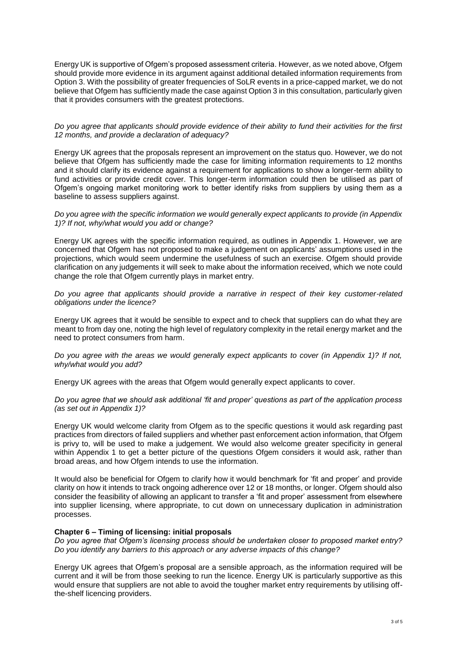Energy UK is supportive of Ofgem's proposed assessment criteria. However, as we noted above, Ofgem should provide more evidence in its argument against additional detailed information requirements from Option 3. With the possibility of greater frequencies of SoLR events in a price-capped market, we do not believe that Ofgem has sufficiently made the case against Option 3 in this consultation, particularly given that it provides consumers with the greatest protections.

#### *Do you agree that applicants should provide evidence of their ability to fund their activities for the first 12 months, and provide a declaration of adequacy?*

Energy UK agrees that the proposals represent an improvement on the status quo. However, we do not believe that Ofgem has sufficiently made the case for limiting information requirements to 12 months and it should clarify its evidence against a requirement for applications to show a longer-term ability to fund activities or provide credit cover. This longer-term information could then be utilised as part of Ofgem's ongoing market monitoring work to better identify risks from suppliers by using them as a baseline to assess suppliers against.

# *Do you agree with the specific information we would generally expect applicants to provide (in Appendix 1)? If not, why/what would you add or change?*

Energy UK agrees with the specific information required, as outlines in Appendix 1. However, we are concerned that Ofgem has not proposed to make a judgement on applicants' assumptions used in the projections, which would seem undermine the usefulness of such an exercise. Ofgem should provide clarification on any judgements it will seek to make about the information received, which we note could change the role that Ofgem currently plays in market entry.

*Do you agree that applicants should provide a narrative in respect of their key customer-related obligations under the licence?*

Energy UK agrees that it would be sensible to expect and to check that suppliers can do what they are meant to from day one, noting the high level of regulatory complexity in the retail energy market and the need to protect consumers from harm.

*Do you agree with the areas we would generally expect applicants to cover (in Appendix 1)? If not, why/what would you add?*

Energy UK agrees with the areas that Ofgem would generally expect applicants to cover.

# *Do you agree that we should ask additional 'fit and proper' questions as part of the application process (as set out in Appendix 1)?*

Energy UK would welcome clarity from Ofgem as to the specific questions it would ask regarding past practices from directors of failed suppliers and whether past enforcement action information, that Ofgem is privy to, will be used to make a judgement. We would also welcome greater specificity in general within Appendix 1 to get a better picture of the questions Ofgem considers it would ask, rather than broad areas, and how Ofgem intends to use the information.

It would also be beneficial for Ofgem to clarify how it would benchmark for 'fit and proper' and provide clarity on how it intends to track ongoing adherence over 12 or 18 months, or longer. Ofgem should also consider the feasibility of allowing an applicant to transfer a 'fit and proper' assessment from elsewhere into supplier licensing, where appropriate, to cut down on unnecessary duplication in administration processes.

#### **Chapter 6 – Timing of licensing: initial proposals**

*Do you agree that Ofgem's licensing process should be undertaken closer to proposed market entry? Do you identify any barriers to this approach or any adverse impacts of this change?*

Energy UK agrees that Ofgem's proposal are a sensible approach, as the information required will be current and it will be from those seeking to run the licence. Energy UK is particularly supportive as this would ensure that suppliers are not able to avoid the tougher market entry requirements by utilising offthe-shelf licencing providers.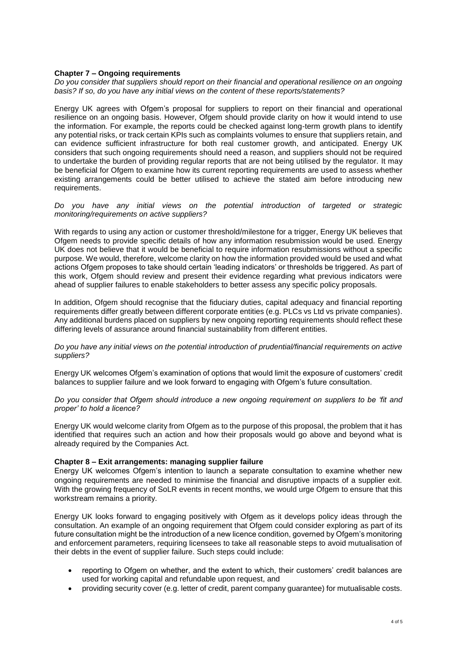# **Chapter 7 – Ongoing requirements**

*Do you consider that suppliers should report on their financial and operational resilience on an ongoing basis? If so, do you have any initial views on the content of these reports/statements?*

Energy UK agrees with Ofgem's proposal for suppliers to report on their financial and operational resilience on an ongoing basis. However, Ofgem should provide clarity on how it would intend to use the information. For example, the reports could be checked against long-term growth plans to identify any potential risks, or track certain KPIs such as complaints volumes to ensure that suppliers retain, and can evidence sufficient infrastructure for both real customer growth, and anticipated. Energy UK considers that such ongoing requirements should need a reason, and suppliers should not be required to undertake the burden of providing regular reports that are not being utilised by the regulator. It may be beneficial for Ofgem to examine how its current reporting requirements are used to assess whether existing arrangements could be better utilised to achieve the stated aim before introducing new requirements.

*Do you have any initial views on the potential introduction of targeted or strategic monitoring/requirements on active suppliers?*

With regards to using any action or customer threshold/milestone for a trigger, Energy UK believes that Ofgem needs to provide specific details of how any information resubmission would be used. Energy UK does not believe that it would be beneficial to require information resubmissions without a specific purpose. We would, therefore, welcome clarity on how the information provided would be used and what actions Ofgem proposes to take should certain 'leading indicators' or thresholds be triggered. As part of this work, Ofgem should review and present their evidence regarding what previous indicators were ahead of supplier failures to enable stakeholders to better assess any specific policy proposals.

In addition, Ofgem should recognise that the fiduciary duties, capital adequacy and financial reporting requirements differ greatly between different corporate entities (e.g. PLCs vs Ltd vs private companies). Any additional burdens placed on suppliers by new ongoing reporting requirements should reflect these differing levels of assurance around financial sustainability from different entities.

*Do you have any initial views on the potential introduction of prudential/financial requirements on active suppliers?*

Energy UK welcomes Ofgem's examination of options that would limit the exposure of customers' credit balances to supplier failure and we look forward to engaging with Ofgem's future consultation.

*Do you consider that Ofgem should introduce a new ongoing requirement on suppliers to be 'fit and proper' to hold a licence?*

Energy UK would welcome clarity from Ofgem as to the purpose of this proposal, the problem that it has identified that requires such an action and how their proposals would go above and beyond what is already required by the Companies Act.

#### **Chapter 8 – Exit arrangements: managing supplier failure**

Energy UK welcomes Ofgem's intention to launch a separate consultation to examine whether new ongoing requirements are needed to minimise the financial and disruptive impacts of a supplier exit. With the growing frequency of SoLR events in recent months, we would urge Ofgem to ensure that this workstream remains a priority.

Energy UK looks forward to engaging positively with Ofgem as it develops policy ideas through the consultation. An example of an ongoing requirement that Ofgem could consider exploring as part of its future consultation might be the introduction of a new licence condition, governed by Ofgem's monitoring and enforcement parameters, requiring licensees to take all reasonable steps to avoid mutualisation of their debts in the event of supplier failure. Such steps could include:

- reporting to Ofgem on whether, and the extent to which, their customers' credit balances are used for working capital and refundable upon request, and
- providing security cover (e.g. letter of credit, parent company guarantee) for mutualisable costs.